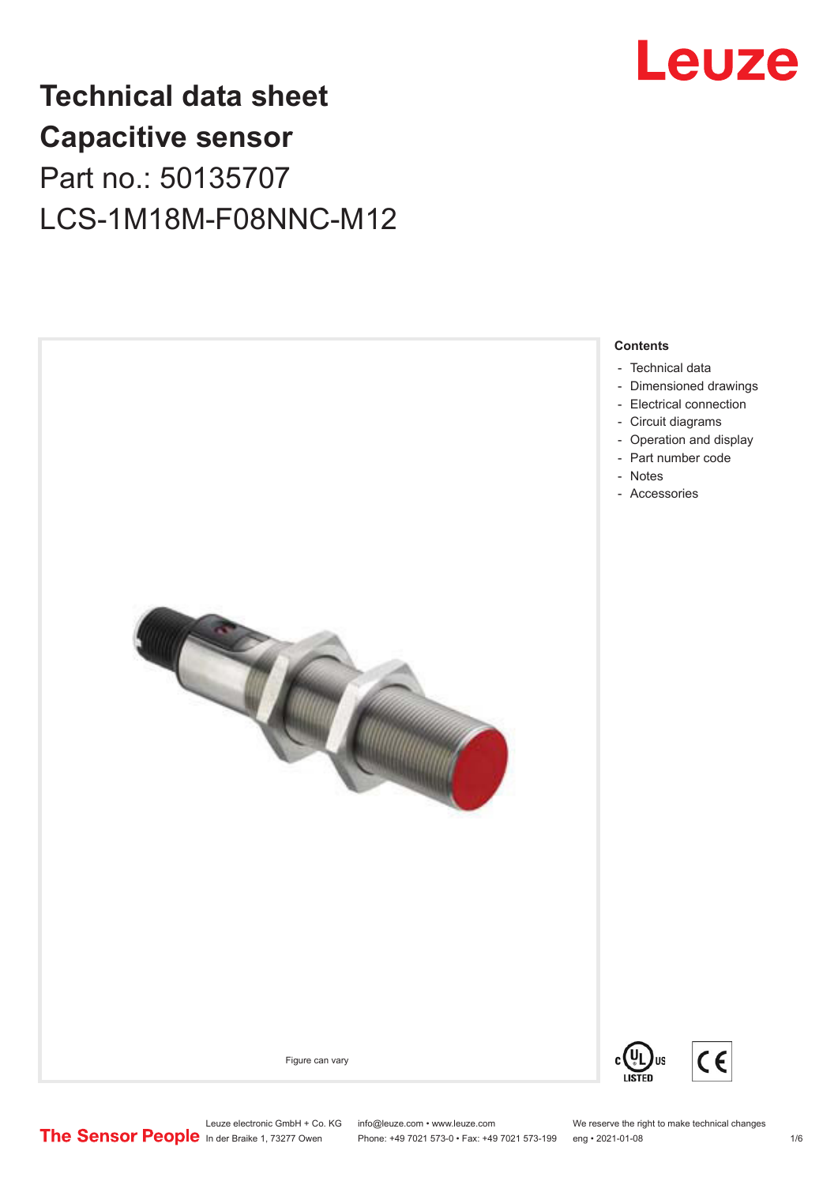

## **Technical data sheet Capacitive sensor** Part no.: 50135707 LCS-1M18M-F08NNC-M12



#### **Contents**

- [Technical data](#page-1-0)
- [Dimensioned drawings](#page-2-0)
- [Electrical connection](#page-2-0)
- [Circuit diagrams](#page-3-0)
- [Operation and display](#page-3-0)
- [Part number code](#page-3-0)
- [Accessories](#page-4-0)



Leuze electronic GmbH + Co. KG info@leuze.com • www.leuze.com We reserve the right to make technical changes<br>
The Sensor People in der Braike 1, 73277 Owen Phone: +49 7021 573-0 • Fax: +49 7021 573-199 eng • 2021-01-08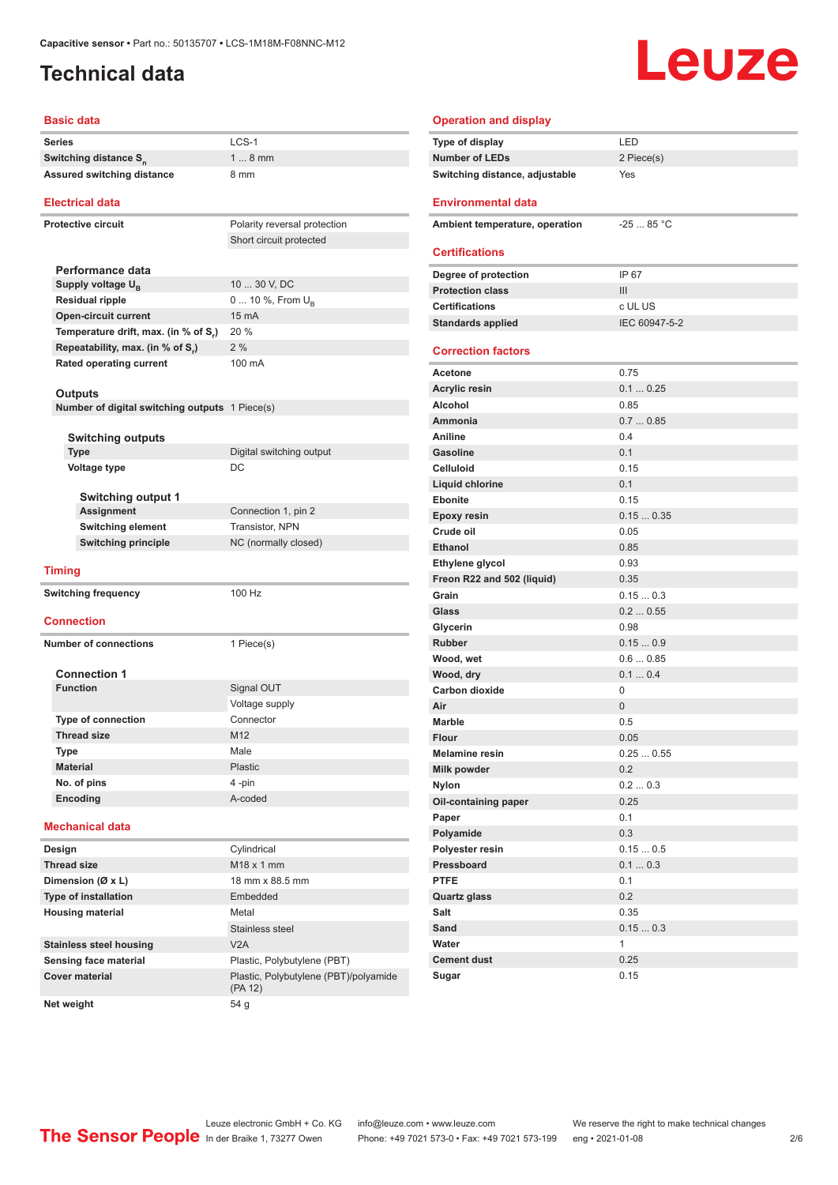### <span id="page-1-0"></span>**Technical data**

#### **Basic data**

| <b>Series</b>                                                    | LCS-1                        | Type of display                | LED                 |
|------------------------------------------------------------------|------------------------------|--------------------------------|---------------------|
| Switching distance S <sub>n</sub>                                | $18$ mm                      | <b>Number of LEDs</b>          | 2 Piece(s)          |
| Assured switching distance                                       | 8 mm                         | Switching distance, adjustable | Yes                 |
| <b>Electrical data</b>                                           |                              | <b>Environmental data</b>      |                     |
| <b>Protective circuit</b>                                        | Polarity reversal protection | Ambient temperature, operation | $-25$ 85 $^{\circ}$ |
|                                                                  | Short circuit protected      |                                |                     |
|                                                                  |                              | <b>Certifications</b>          |                     |
| Performance data                                                 |                              | Degree of protection           | IP 67               |
| Supply voltage U <sub>B</sub>                                    | 10  30 V, DC                 | <b>Protection class</b>        | Ш                   |
| <b>Residual ripple</b>                                           | 0  10 %, From $U_B$          | <b>Certifications</b>          | c UL US             |
| <b>Open-circuit current</b>                                      | 15 mA                        | <b>Standards applied</b>       | <b>IEC 60947</b>    |
| Temperature drift, max. (in % of S.)                             | 20 %                         |                                |                     |
| Repeatability, max. (in % of S.)                                 | 2%                           | <b>Correction factors</b>      |                     |
| <b>Rated operating current</b>                                   | 100 mA                       | Acetone                        | 0.75                |
|                                                                  |                              | <b>Acrylic resin</b>           | 0.10.25             |
| <b>Outputs</b><br>Number of digital switching outputs 1 Piece(s) |                              | Alcohol                        | 0.85                |
|                                                                  |                              | Ammonia                        | 0.70.85             |
| <b>Switching outputs</b>                                         |                              | Aniline                        | 0.4                 |
| <b>Type</b>                                                      | Digital switching output     | <b>Gasoline</b>                | 0.1                 |
| <b>Voltage type</b>                                              | DC                           | <b>Celluloid</b>               | 0.15                |
|                                                                  |                              | Liquid chlorine                | 0.1                 |
| <b>Switching output 1</b>                                        |                              | Ebonite                        | 0.15                |
| Assignment                                                       | Connection 1, pin 2          | <b>Epoxy resin</b>             | 0.150.3             |
| <b>Switching element</b>                                         | Transistor, NPN              | Crude oil                      | 0.05                |
| <b>Switching principle</b>                                       | NC (normally closed)         | <b>Ethanol</b>                 | 0.85                |
|                                                                  |                              | Ethylene glycol                | 0.93                |
| <b>Timing</b>                                                    |                              | Freon R22 and 502 (liquid)     | 0.35                |
| <b>Switching frequency</b>                                       | 100 Hz                       | Grain                          | 0.150.3             |
|                                                                  |                              | Glass                          | 0.20.55             |
| <b>Connection</b>                                                |                              | Glycerin                       | 0.98                |
|                                                                  |                              | Rubber                         | 0.150.9             |
| <b>Number of connections</b>                                     | 1 Piece(s)                   | Wood, wet                      | 0.60.85             |
| <b>Connection 1</b>                                              |                              | Wood, dry                      | 0.10.4              |
| <b>Function</b>                                                  | Signal OUT                   | Carbon dioxide                 | 0                   |
|                                                                  | Voltage supply               | Air                            | $\overline{0}$      |
| <b>Type of connection</b>                                        | Connector                    | <b>Marble</b>                  |                     |
| <b>Thread size</b>                                               | M12                          |                                | 0.5                 |
| Type                                                             | Male                         | Flour                          | 0.05                |
| <b>Material</b>                                                  | <b>Plastic</b>               | Melamine resin                 | 0.25<br>0.5         |
| No. of pins                                                      | 4-pin                        | Milk powder                    | 0.2                 |
| Encoding                                                         | A-coded                      | <b>Nylon</b>                   | 0.20.3              |
|                                                                  |                              | Oil-containing paper           | 0.25                |
| <b>Mechanical data</b>                                           |                              | Paper                          | 0.1                 |
|                                                                  |                              | Polyamide                      | 0.3                 |
| Design                                                           | Cylindrical                  | Polyester resin                | 0.150.5             |
| <b>Thread size</b>                                               | $M18 \times 1$ mm            | Pressboard                     | 0.10.3              |
| Dimension (Ø x L)                                                | 18 mm x 88.5 mm              | <b>PTFE</b>                    | 0.1                 |
| Type of installation                                             | Embedded                     | Quartz glass                   | 0.2                 |
| <b>Housing material</b>                                          | Metal                        | Salt                           | 0.35                |
|                                                                  | Stainless steel              | Sand                           | 0.150.3             |
| <b>Stainless steel housing</b>                                   | V2A                          | Water                          | 1                   |
| Sensing face material                                            | Plastic, Polybutylene (PBT)  | <b>Cement dust</b>             | 0.25                |

#### **Operation and display Type of display** LED **Number of LEDs** 2 Piece(s) **Switching distance, adjustable** Yes **Environmental data Ambient temperature, operation** -25 ... 85 °C **Certifications Degree of protection IP 67 Protection class** III **Certifications** c UL US **Standards applied** IEC 60947-5-2 **Correction factors Acetone** 0.75 **Acrylic resin** 0.1 ... 0.25 **Alcohol** 0.85 **Ammonia** 0.7 ... 0.85 **Aniline** 0.4 **Gasoline** 0.1 **Celluloid** 0.15 **Liquid chlorine** 0.1 **Ebonite** 0.15 **Epoxy resin** 0.15 ... 0.35 **Crude oil** 0.05 **Ethanol** 0.85 **Ethylene glycol** 0.93 **Freon R22 and 502 (liquid)** 0.35 **Grain** 0.15 ... 0.3 **Glass** 0.2 ... 0.55 **Glycerin** 0.98 **Rubber** 0.15 ... 0.9 **Wood, wet** 0.6 ... 0.85 **Mood, dry 1.1 ... 0.4 Carbon dioxide** 0 **Air** 0 Marble 0.5 **Flour** 0.05 **Melamine resin** 0.25 ... 0.55 **Milk powder** 0.2

Leuze

Leuze electronic GmbH + Co. KG info@leuze.com • www.leuze.com We reserve the right to make technical changes<br>
The Sensor People in der Braike 1, 73277 Owen Phone: +49 7021 573-0 • Fax: +49 7021 573-199 eng • 2021-01-08

**Cover material** Plastic, Polybutylene (PBT)/polyamide (PA 12)

**Net weight** 54 g

Phone: +49 7021 573-0 • Fax: +49 7021 573-199 eng • 2021-01-08 2 2 /6

**Sugar** 0.15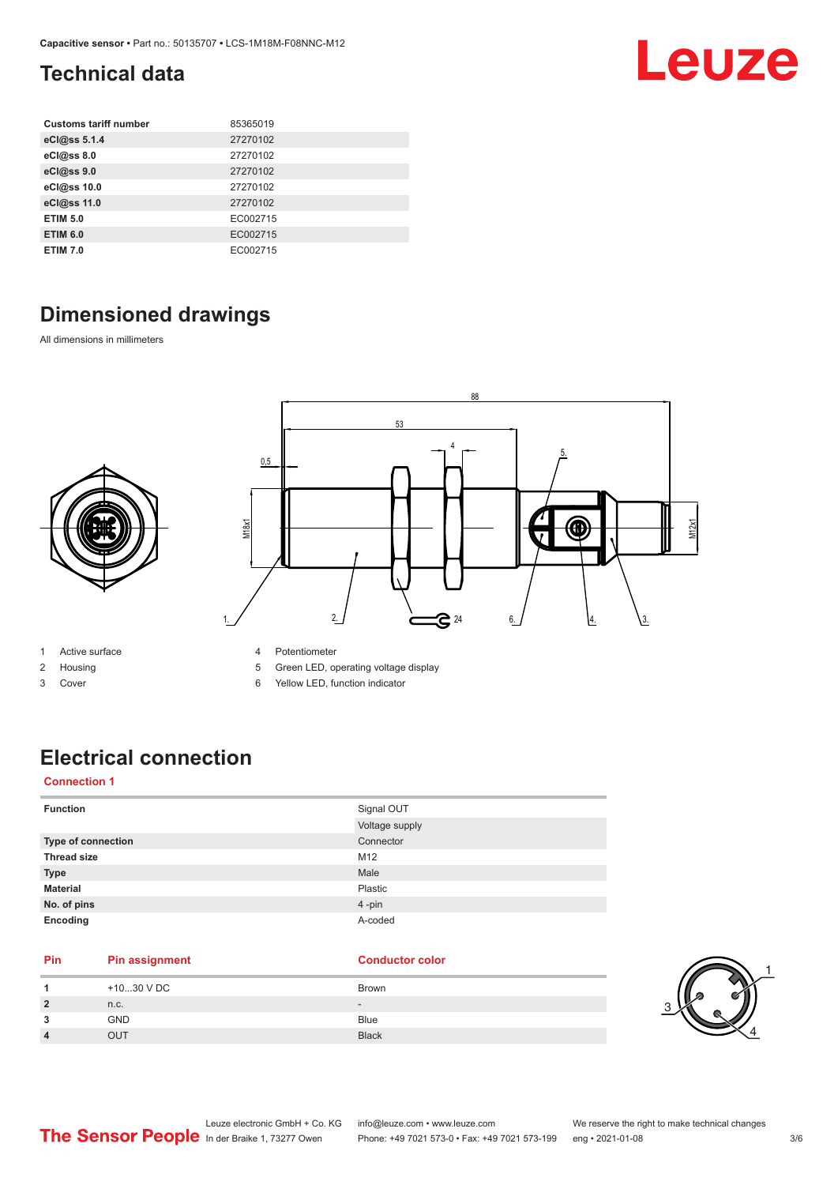## <span id="page-2-0"></span>**Technical data**

| <b>Customs tariff number</b> | 85365019 |
|------------------------------|----------|
| eCl@ss 5.1.4                 | 27270102 |
| eCl@ss 8.0                   | 27270102 |
| eCl@ss 9.0                   | 27270102 |
| eCl@ss 10.0                  | 27270102 |
| eCl@ss 11.0                  | 27270102 |
| <b>ETIM 5.0</b>              | EC002715 |
| <b>ETIM 6.0</b>              | EC002715 |
| <b>ETIM 7.0</b>              | EC002715 |

## **Dimensioned drawings**

All dimensions in millimeters



- 1 Active surface
- 2 Housing
- 3 Cover
- 4 Potentiometer
- 5 Green LED, operating voltage display
- 6 Yellow LED, function indicator

## **Electrical connection**

#### **Connection 1**

| <b>Function</b>    | Signal OUT     |
|--------------------|----------------|
|                    | Voltage supply |
| Type of connection | Connector      |
| <b>Thread size</b> | M12            |
| <b>Type</b>        | Male           |
| <b>Material</b>    | Plastic        |
| No. of pins        | 4-pin          |
| Encoding           | A-coded        |

#### **Pin Pin assignment Conductor Conductor Color**

| +1030 V DC | Brown        |
|------------|--------------|
| n.c.       | $\sim$       |
| <b>GND</b> | Blue         |
| TUC        | <b>Black</b> |



Leuze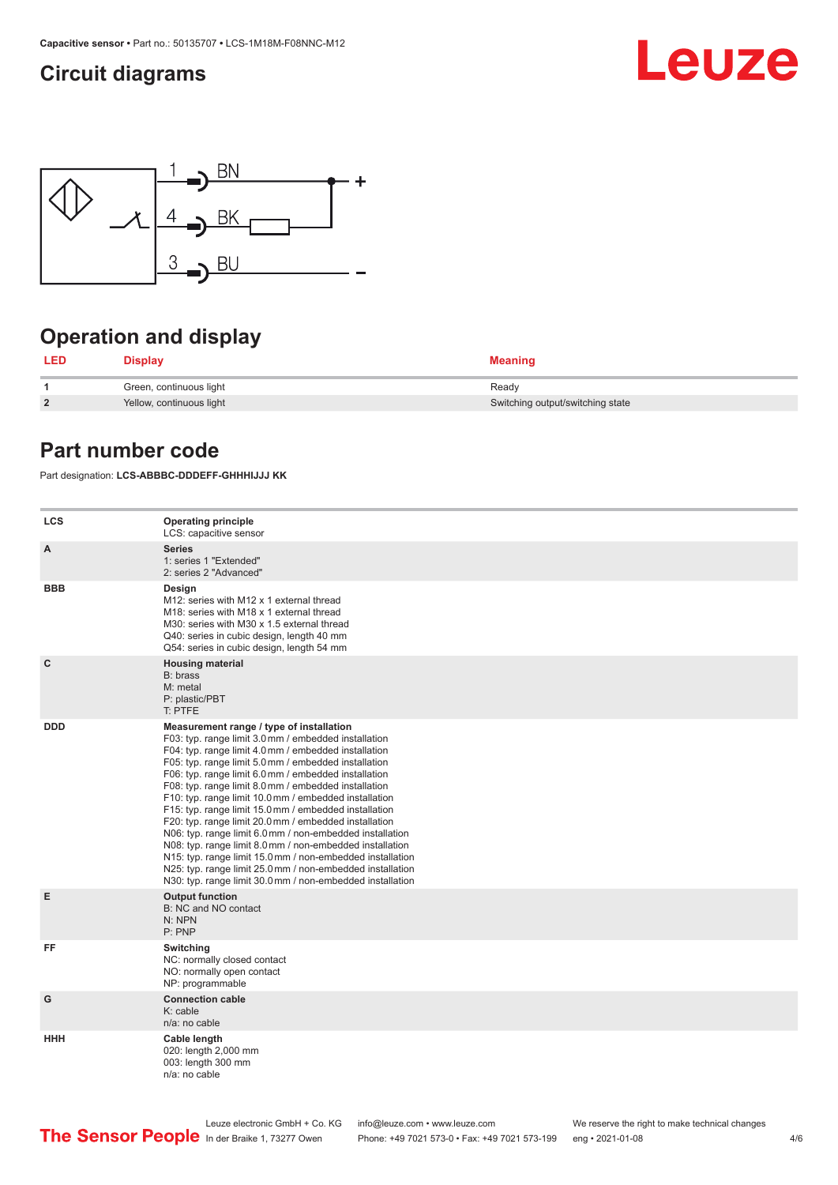#### <span id="page-3-0"></span>**Circuit diagrams**





## **Operation and display**

| LED            | <b>Display</b>           | <b>Meaning</b>                   |
|----------------|--------------------------|----------------------------------|
|                | Green, continuous light  | Ready                            |
| $\overline{2}$ | Yellow, continuous light | Switching output/switching state |

#### **Part number code**

Part designation: **LCS-ABBBC-DDDEFF-GHHHIJJJ KK**

| <b>LCS</b>   | <b>Operating principle</b><br>LCS: capacitive sensor                                                                                                                                                                                                                                                                                                                                                                                                                                                                                                                                                                                                                                                                                                                                                                       |
|--------------|----------------------------------------------------------------------------------------------------------------------------------------------------------------------------------------------------------------------------------------------------------------------------------------------------------------------------------------------------------------------------------------------------------------------------------------------------------------------------------------------------------------------------------------------------------------------------------------------------------------------------------------------------------------------------------------------------------------------------------------------------------------------------------------------------------------------------|
| A            | <b>Series</b><br>1: series 1 "Extended"<br>2: series 2 "Advanced"                                                                                                                                                                                                                                                                                                                                                                                                                                                                                                                                                                                                                                                                                                                                                          |
| <b>BBB</b>   | Design<br>M12: series with M12 x 1 external thread<br>M18: series with M18 x 1 external thread<br>M30: series with M30 x 1.5 external thread<br>Q40: series in cubic design, length 40 mm<br>Q54: series in cubic design, length 54 mm                                                                                                                                                                                                                                                                                                                                                                                                                                                                                                                                                                                     |
| $\mathbf{C}$ | <b>Housing material</b><br>B: brass<br>M: metal<br>P: plastic/PBT<br>T: PTFE                                                                                                                                                                                                                                                                                                                                                                                                                                                                                                                                                                                                                                                                                                                                               |
| <b>DDD</b>   | Measurement range / type of installation<br>F03: typ. range limit 3.0 mm / embedded installation<br>F04: typ. range limit 4.0 mm / embedded installation<br>F05: typ. range limit 5.0 mm / embedded installation<br>F06: typ. range limit 6.0 mm / embedded installation<br>F08: typ. range limit 8.0 mm / embedded installation<br>F10: typ. range limit 10.0 mm / embedded installation<br>F15: typ. range limit 15.0 mm / embedded installation<br>F20: typ. range limit 20.0 mm / embedded installation<br>N06: typ. range limit 6.0 mm / non-embedded installation<br>N08: typ. range limit 8.0 mm / non-embedded installation<br>N15: typ. range limit 15.0 mm / non-embedded installation<br>N25: typ. range limit 25.0 mm / non-embedded installation<br>N30: typ. range limit 30.0 mm / non-embedded installation |
| Е            | <b>Output function</b><br>B: NC and NO contact<br>N: NPN<br>P: PNP                                                                                                                                                                                                                                                                                                                                                                                                                                                                                                                                                                                                                                                                                                                                                         |
| FF           | Switching<br>NC: normally closed contact<br>NO: normally open contact<br>NP: programmable                                                                                                                                                                                                                                                                                                                                                                                                                                                                                                                                                                                                                                                                                                                                  |
| G            | <b>Connection cable</b><br>$K:$ cable<br>$n/a$ : no cable                                                                                                                                                                                                                                                                                                                                                                                                                                                                                                                                                                                                                                                                                                                                                                  |
| <b>HHH</b>   | Cable length<br>020: length 2,000 mm<br>003: length 300 mm<br>n/a: no cable                                                                                                                                                                                                                                                                                                                                                                                                                                                                                                                                                                                                                                                                                                                                                |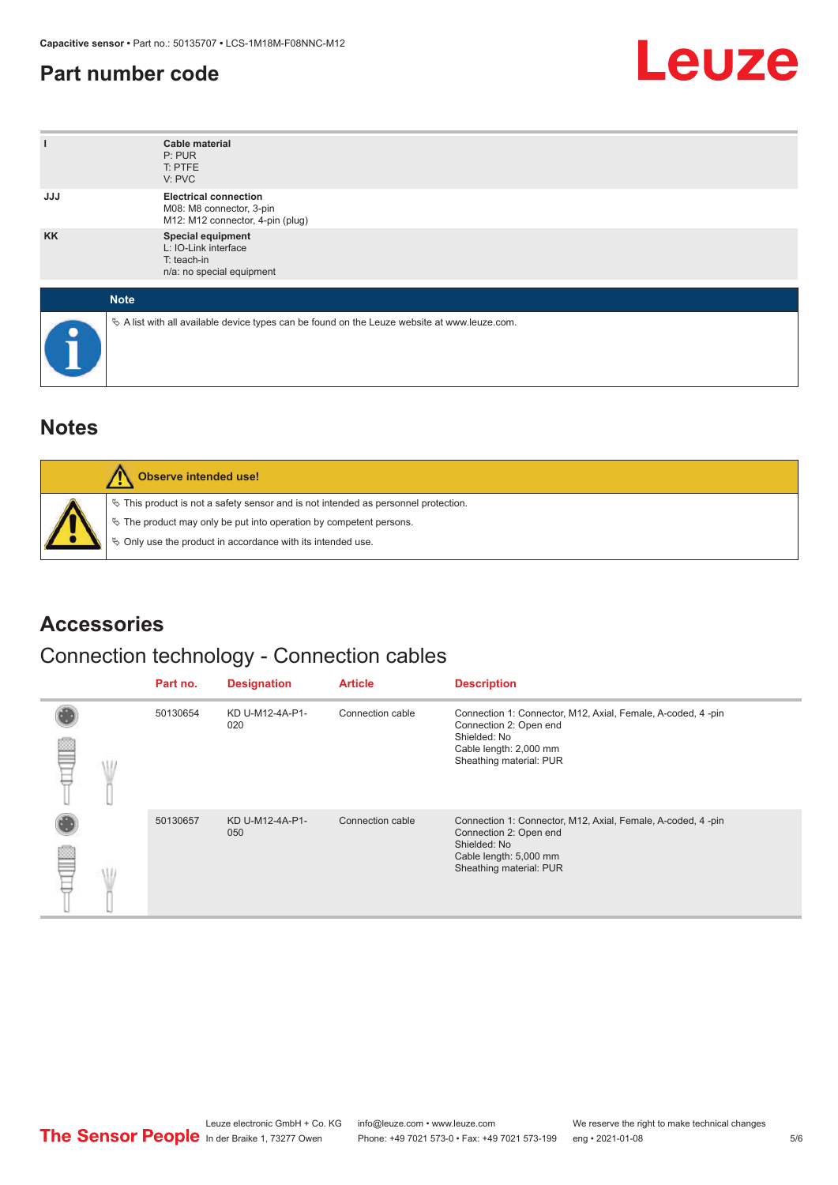#### <span id="page-4-0"></span>**Part number code**



| ı          | <b>Cable material</b><br>P: PUR<br>T: PTFE<br>V: PVC                                            |
|------------|-------------------------------------------------------------------------------------------------|
| <b>JJJ</b> | <b>Electrical connection</b><br>M08: M8 connector, 3-pin<br>M12: M12 connector, 4-pin (plug)    |
| <b>KK</b>  | Special equipment<br>L: IO-Link interface<br>T: teach-in<br>n/a: no special equipment           |
|            | <b>Note</b>                                                                                     |
|            | $\&$ A list with all available device types can be found on the Leuze website at www.leuze.com. |

#### **Notes**

| Observe intended use!                                                                                                                                                                                                         |
|-------------------------------------------------------------------------------------------------------------------------------------------------------------------------------------------------------------------------------|
| $\%$ This product is not a safety sensor and is not intended as personnel protection.<br>$\%$ The product may only be put into operation by competent persons.<br>♦ Only use the product in accordance with its intended use. |

#### **Accessories**

#### Connection technology - Connection cables

|   |          | Part no.               | <b>Designation</b>     | <b>Article</b>                                                                                                                                             | <b>Description</b>                                                                                                                                         |
|---|----------|------------------------|------------------------|------------------------------------------------------------------------------------------------------------------------------------------------------------|------------------------------------------------------------------------------------------------------------------------------------------------------------|
| m | 50130654 | KD U-M12-4A-P1-<br>020 | Connection cable       | Connection 1: Connector, M12, Axial, Female, A-coded, 4-pin<br>Connection 2: Open end<br>Shielded: No<br>Cable length: 2,000 mm<br>Sheathing material: PUR |                                                                                                                                                            |
|   |          | 50130657               | KD U-M12-4A-P1-<br>050 | Connection cable                                                                                                                                           | Connection 1: Connector, M12, Axial, Female, A-coded, 4-pin<br>Connection 2: Open end<br>Shielded: No<br>Cable length: 5,000 mm<br>Sheathing material: PUR |